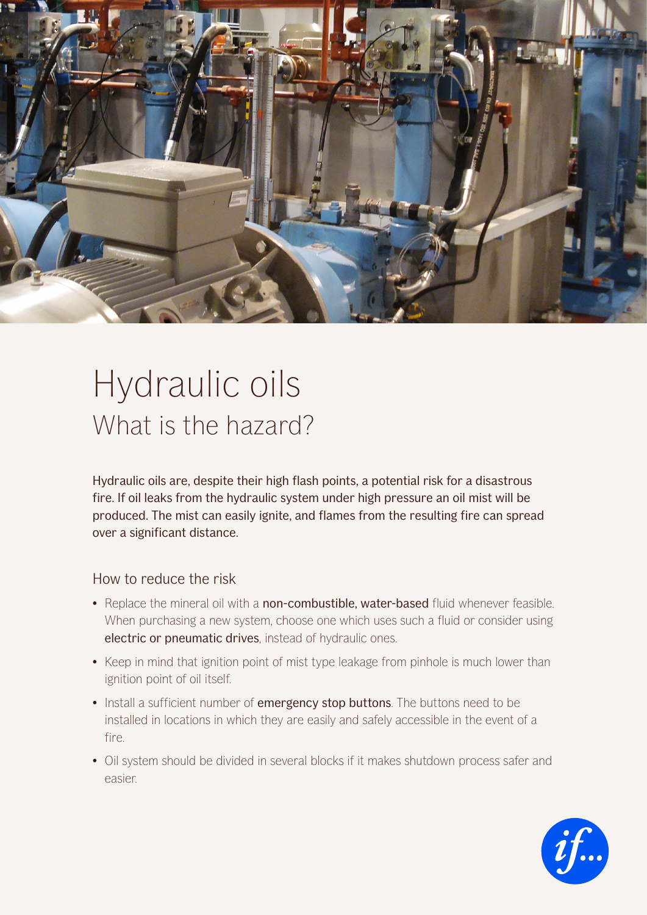

## Hydraulic oils What is the hazard?

Hydraulic oils are, despite their high flash points, a potential risk for a disastrous fire. If oil leaks from the hydraulic system under high pressure an oil mist will be produced. The mist can easily ignite, and flames from the resulting fire can spread over a significant distance.

## How to reduce the risk

- Replace the mineral oil with a non-combustible, water-based fluid whenever feasible. When purchasing a new system, choose one which uses such a fluid or consider using electric or pneumatic drives, instead of hydraulic ones.
- Keep in mind that ignition point of mist type leakage from pinhole is much lower than ignition point of oil itself.
- Install a sufficient number of emergency stop buttons. The buttons need to be installed in locations in which they are easily and safely accessible in the event of a fire.
- Oil system should be divided in several blocks if it makes shutdown process safer and easier.